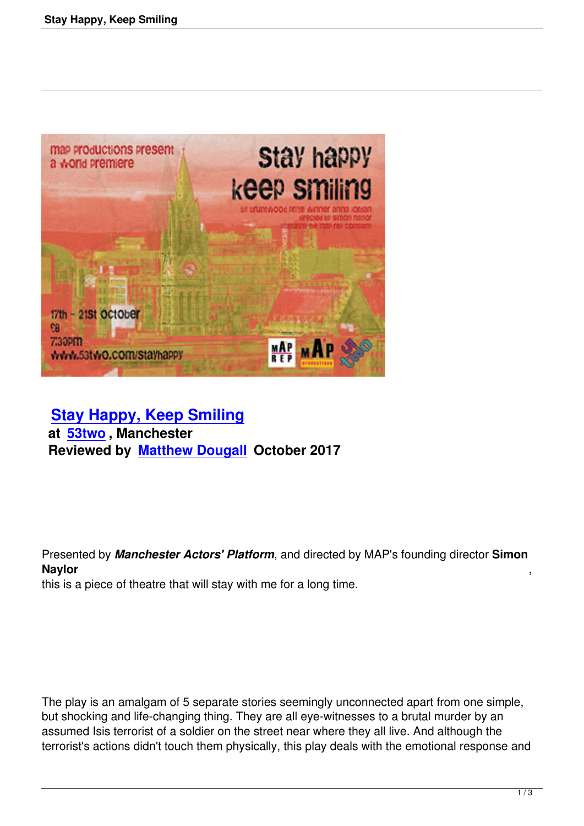

# **Stay Happy, Keep Smiling at 53two , Manchester [Reviewed by Matthew Dougall](stay-happy-keep-smiling.html) October 2017**

Presented by *Manchester Actors' Platform*, and directed by MAP's founding director **Simon Naylor** ,

this is a piece of theatre that will stay with me for a long time.

The play is an amalgam of 5 separate stories seemingly unconnected apart from one simple, but shocking and life-changing thing. They are all eye-witnesses to a brutal murder by an assumed Isis terrorist of a soldier on the street near where they all live. And although the terrorist's actions didn't touch them physically, this play deals with the emotional response and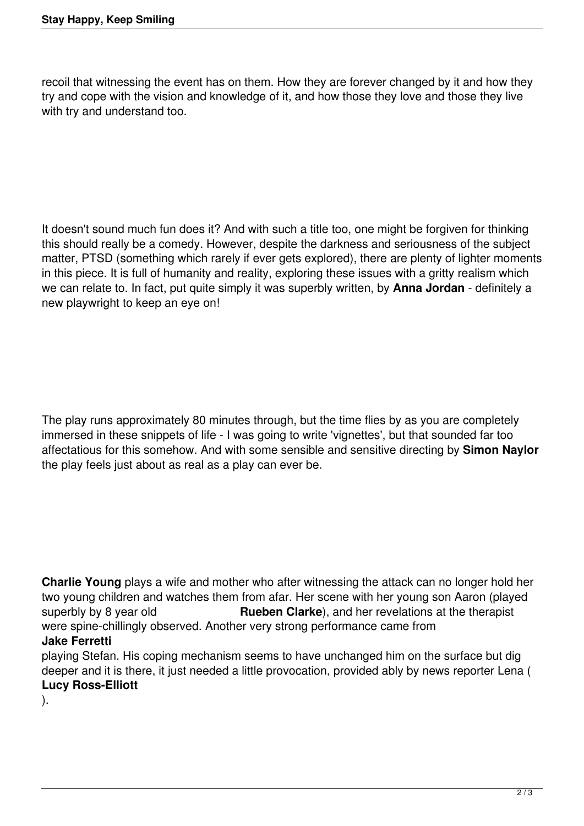recoil that witnessing the event has on them. How they are forever changed by it and how they try and cope with the vision and knowledge of it, and how those they love and those they live with try and understand too.

It doesn't sound much fun does it? And with such a title too, one might be forgiven for thinking this should really be a comedy. However, despite the darkness and seriousness of the subject matter, PTSD (something which rarely if ever gets explored), there are plenty of lighter moments in this piece. It is full of humanity and reality, exploring these issues with a gritty realism which we can relate to. In fact, put quite simply it was superbly written, by **Anna Jordan** - definitely a new playwright to keep an eye on!

The play runs approximately 80 minutes through, but the time flies by as you are completely immersed in these snippets of life - I was going to write 'vignettes', but that sounded far too affectatious for this somehow. And with some sensible and sensitive directing by **Simon Naylor** the play feels just about as real as a play can ever be.

**Charlie Young** plays a wife and mother who after witnessing the attack can no longer hold her two young children and watches them from afar. Her scene with her young son Aaron (played<br>superbly by 8 year old **Rueben Clarke**), and her revelations at the therapist **Rueben Clarke**), and her revelations at the therapist were spine-chillingly observed. Another very strong performance came from

## **Jake Ferretti**

playing Stefan. His coping mechanism seems to have unchanged him on the surface but dig deeper and it is there, it just needed a little provocation, provided ably by news reporter Lena ( **Lucy Ross-Elliott**

).